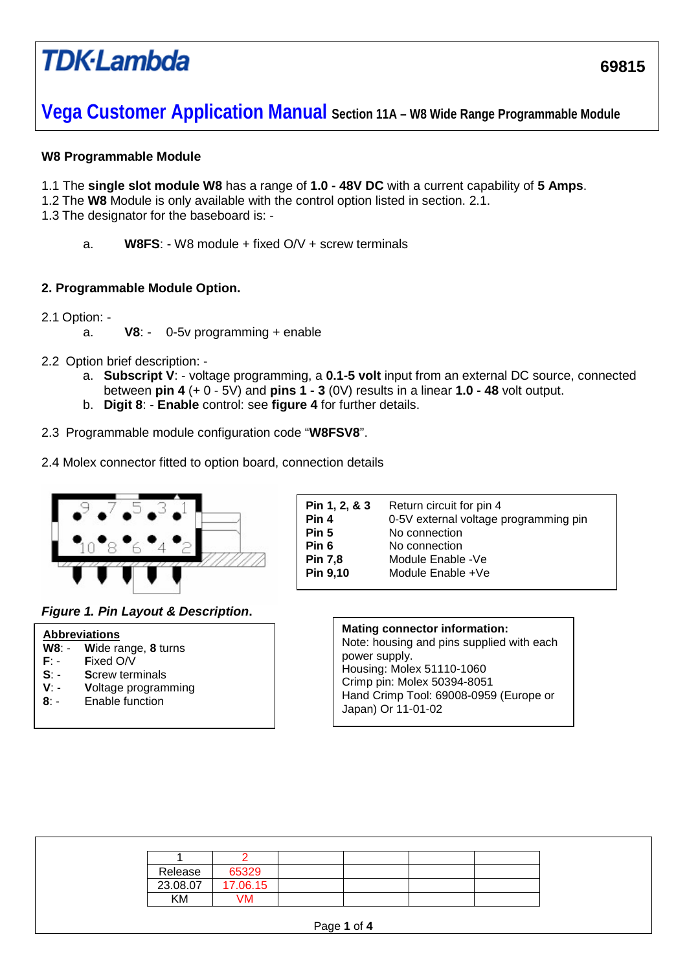# **TDK**-Lambda

**Vega Customer Application Manual Section 11A – W8 Wide Range Programmable Module**

### **W8 Programmable Module**

- 1.1 The **single slot module W8** has a range of **1.0 - 48V DC** with a current capability of **5 Amps**.
- 1.2 The **W8** Module is only available with the control option listed in section. 2.1.

1.3 The designator for the baseboard is: -

a. **W8FS**: - W8 module + fixed O/V + screw terminals

### **2. Programmable Module Option.**

- 2.1 Option:
	- a. **V8**: 0-5v programming + enable
- 2.2 Option brief description:
	- a. **Subscript V**: voltage programming, a **0.1-5 volt** input from an external DC source, connected between **pin 4** (+ 0 - 5V) and **pins 1 - 3** (0V) results in a linear **1.0 - 48** volt output.
	- b. **Digit 8**: **Enable** control: see **figure 4** for further details.
- 2.3 Programmable module configuration code "**W8FSV8**".
- 2.4 Molex connector fitted to option board, connection details



*Figure 1. Pin Layout & Description***.**

|        | <b>Abbreviations</b>       |
|--------|----------------------------|
|        | W8: - Wide range, 8 turns  |
| F: -   | Fixed O/V                  |
| $S -$  | <b>Screw terminals</b>     |
| v -    | <b>Voltage programming</b> |
| $8:$ - | Enable function            |
|        |                            |
|        |                            |

| Pin 1, 2, & 3  | Return circuit for pin 4              |
|----------------|---------------------------------------|
| Pin 4          | 0-5V external voltage programming pin |
| Pin 5          | No connection                         |
| Pin 6          | No connection                         |
| <b>Pin 7,8</b> | Module Enable -Ve                     |
| Pin 9,10       | Module Enable +Ve                     |
|                |                                       |

#### **Mating connector information:** Note: housing and pins supplied with each power supply.

Housing: Molex 51110-1060 Crimp pin: Molex 50394-8051 Hand Crimp Tool: 69008-0959 (Europe or Japan) Or 11-01-02

| Release  |  | 65329    |  |             |  |  |  |
|----------|--|----------|--|-------------|--|--|--|
| 23.08.07 |  | 17.06.15 |  |             |  |  |  |
| ΚM       |  | VM       |  |             |  |  |  |
|          |  |          |  |             |  |  |  |
|          |  |          |  | Page 1 of 4 |  |  |  |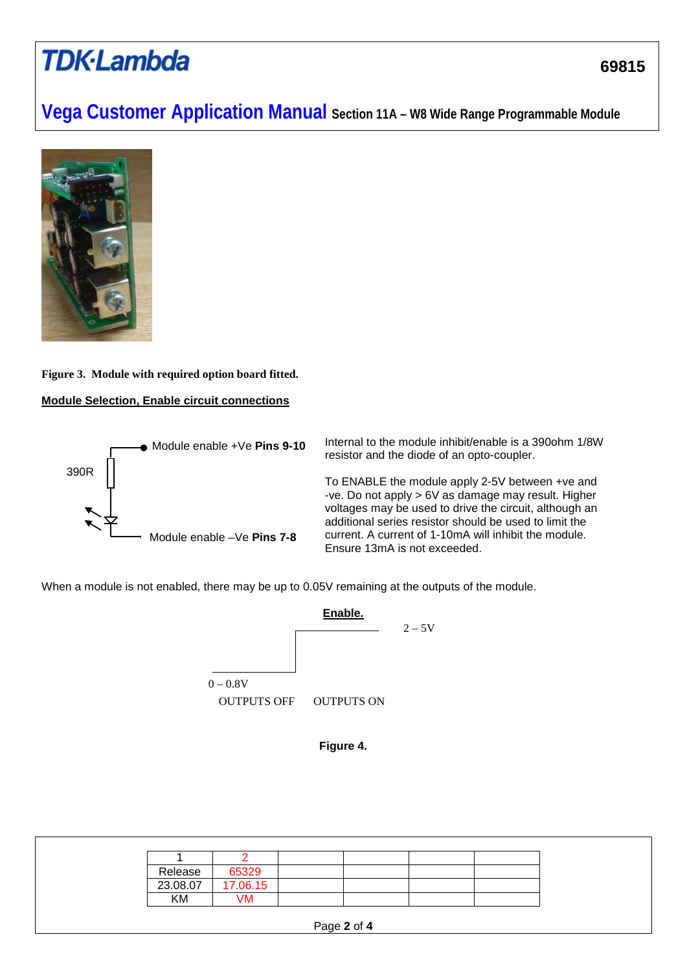# **TDK-Lambda**

## **Vega Customer Application Manual Section 11A – W8 Wide Range Programmable Module**



## **Figure 3. Module with required option board fitted.**

### **Module Selection, Enable circuit connections**



Internal to the module inhibit/enable is a 390ohm 1/8W resistor and the diode of an opto-coupler.

To ENABLE the module apply 2-5V between +ve and -ve. Do not apply > 6V as damage may result. Higher voltages may be used to drive the circuit, although an additional series resistor should be used to limit the current. A current of 1-10mA will inhibit the module. Ensure 13mA is not exceeded.

When a module is not enabled, there may be up to 0.05V remaining at the outputs of the module.



**Figure 4.**

| Release  | 65329    |             |  |
|----------|----------|-------------|--|
| 23.08.07 | 17.06.15 |             |  |
| ΚM       | VM       |             |  |
|          |          | Page 2 of 4 |  |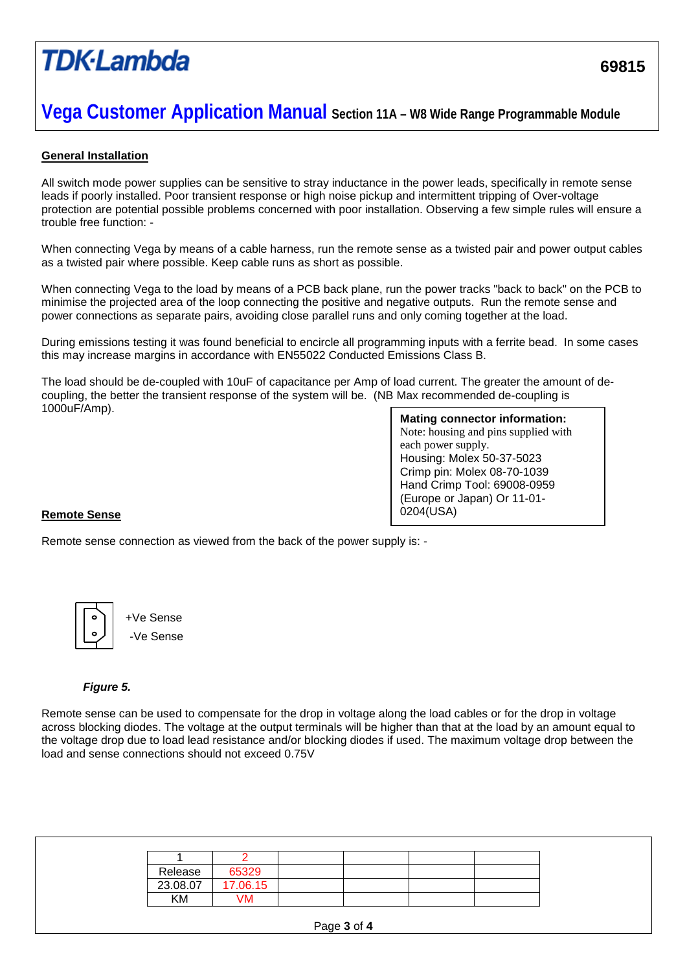# **TDK**·Lambda

### **Vega Customer Application Manual Section 11A – W8 Wide Range Programmable Module**

### **General Installation**

All switch mode power supplies can be sensitive to stray inductance in the power leads, specifically in remote sense leads if poorly installed. Poor transient response or high noise pickup and intermittent tripping of Over-voltage protection are potential possible problems concerned with poor installation. Observing a few simple rules will ensure a trouble free function: -

When connecting Vega by means of a cable harness, run the remote sense as a twisted pair and power output cables as a twisted pair where possible. Keep cable runs as short as possible.

When connecting Vega to the load by means of a PCB back plane, run the power tracks "back to back" on the PCB to minimise the projected area of the loop connecting the positive and negative outputs. Run the remote sense and power connections as separate pairs, avoiding close parallel runs and only coming together at the load.

During emissions testing it was found beneficial to encircle all programming inputs with a ferrite bead. In some cases this may increase margins in accordance with EN55022 Conducted Emissions Class B.

The load should be de-coupled with 10uF of capacitance per Amp of load current. The greater the amount of decoupling, the better the transient response of the system will be. (NB Max recommended de-coupling is 1000uF/Amp).

**Mating connector information:** Note: housing and pins supplied with each power supply. Housing: Molex 50-37-5023 Crimp pin: Molex 08-70-1039 Hand Crimp Tool: 69008-0959 (Europe or Japan) Or 11-01- 0204(USA)

#### **Remote Sense**

Remote sense connection as viewed from the back of the power supply is: -



+Ve Sense -Ve Sense

#### *Figure 5.*

Remote sense can be used to compensate for the drop in voltage along the load cables or for the drop in voltage across blocking diodes. The voltage at the output terminals will be higher than that at the load by an amount equal to the voltage drop due to load lead resistance and/or blocking diodes if used. The maximum voltage drop between the load and sense connections should not exceed 0.75V

| Release  | 65329    |             |  |
|----------|----------|-------------|--|
| 23.08.07 | 17.06.15 |             |  |
| ΚM       | VM       |             |  |
|          |          | Page 3 of 4 |  |